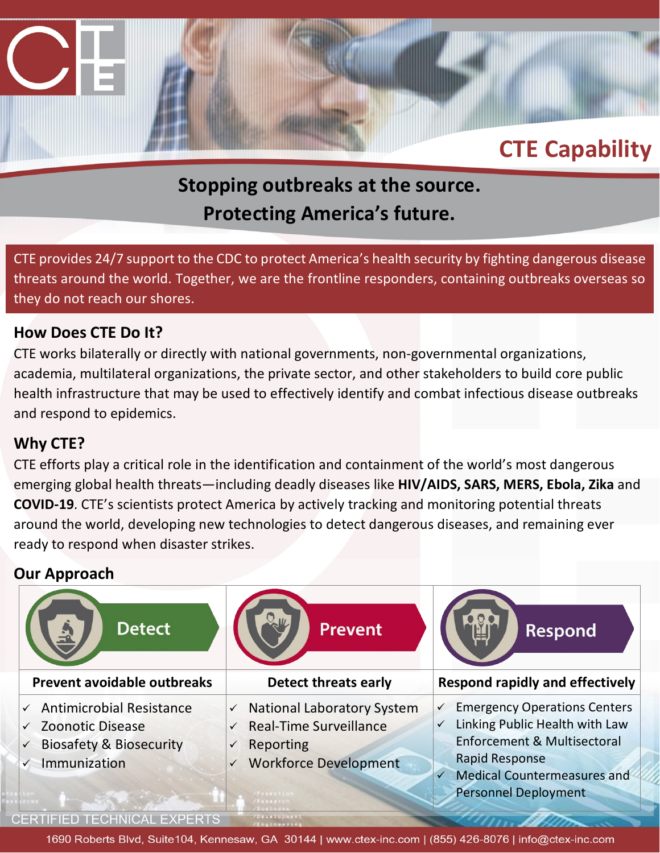### **Stopping outbreaks at the source. Protecting America's future.**

CTE provides 24/7 support to the CDC to protect America's health security by fighting dangerous disease threats around the world. Together, we are the frontline responders, containing outbreaks overseas so they do not reach our shores.

### **How Does CTE Do It?**

CTE works bilaterally or directly with national governments, non-governmental organizations, academia, multilateral organizations, the private sector, and other stakeholders to build core public health infrastructure that may be used to effectively identify and combat infectious disease outbreaks and respond to epidemics.

### **Why CTE?**

CTE efforts play a critical role in the identification and containment of the world's most dangerous emerging global health threats—including deadly diseases like **HIV/AIDS, SARS, MERS, Ebola, Zika** and **COVID-19**. CTE's scientists protect America by actively tracking and monitoring potential threats around the world, developing new technologies to detect dangerous diseases, and remaining ever ready to respond when disaster strikes.

### **Our Approach**



**CERTIFIED TECHNICAL EXPERTS**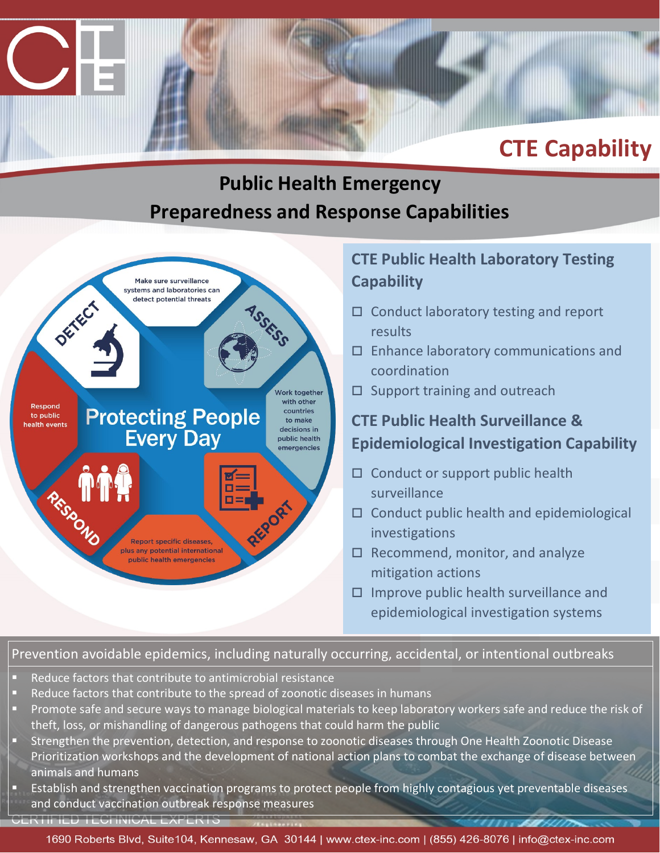### **Public Health Emergency Preparedness and Response Capabilities**



### **CTE Public Health Laboratory Testing Capability**

- $\Box$  Conduct laboratory testing and report results
- $\square$  Enhance laboratory communications and coordination
- $\square$  Support training and outreach

### **CTE Public Health Surveillance & Epidemiological Investigation Capability**

- $\Box$  Conduct or support public health surveillance
- $\Box$  Conduct public health and epidemiological investigations
- $\Box$  Recommend, monitor, and analyze mitigation actions
- $\Box$  Improve public health surveillance and epidemiological investigation systems

### Prevention avoidable epidemics, including naturally occurring, accidental, or intentional outbreaks

- Reduce factors that contribute to antimicrobial resistance
- Reduce factors that contribute to the spread of zoonotic diseases in humans
- **Promote safe and secure ways to manage biological materials to keep laboratory workers safe and reduce the risk of** theft, loss, or mishandling of dangerous pathogens that could harm the public
- Strengthen the prevention, detection, and response to zoonotic diseases through One Health Zoonotic Disease Prioritization workshops and the development of national action plans to combat the exchange of disease between animals and humans
- Establish and strengthen vaccination programs to protect people from highly contagious yet preventable diseases and conduct vaccination outbreak response measures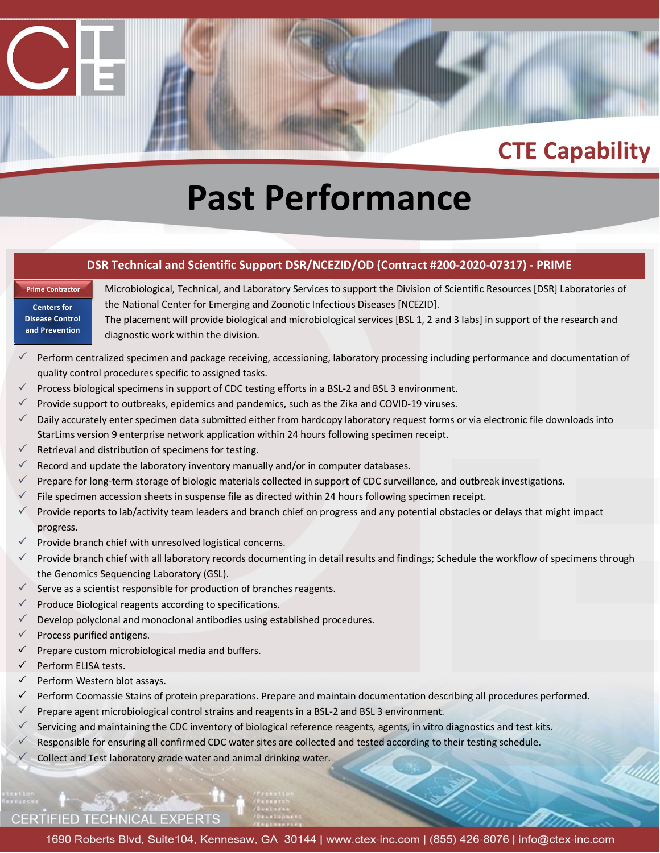# **Past Performance**

#### **DSR Technical and Scientific Support DSR/NCEZID/OD (Contract #200-2020-07317) - PRIME**

**Centers for Disease Control and Prevention**

**Prime Contractor**

Microbiological, Technical, and Laboratory Services to support the Division of Scientific Resources [DSR] Laboratories of the National Center for Emerging and Zoonotic Infectious Diseases [NCEZID].

The placement will provide biological and microbiological services [BSL 1, 2 and 3 labs] in support of the research and diagnostic work within the division.

- Perform centralized specimen and package receiving, accessioning, laboratory processing including performance and documentation of quality control procedures specific to assigned tasks.
- Process biological specimens in support of CDC testing efforts in a BSL-2 and BSL 3 environment.
- Provide support to outbreaks, epidemics and pandemics, such as the Zika and COVID-19 viruses.
- Daily accurately enter specimen data submitted either from hardcopy laboratory request forms or via electronic file downloads into StarLims version 9 enterprise network application within 24 hours following specimen receipt.
- $\checkmark$  Retrieval and distribution of specimens for testing.
- Record and update the laboratory inventory manually and/or in computer databases.
- Prepare for long-term storage of biologic materials collected in support of CDC surveillance, and outbreak investigations.
- File specimen accession sheets in suspense file as directed within 24 hours following specimen receipt.
- Provide reports to lab/activity team leaders and branch chief on progress and any potential obstacles or delays that might impact progress.
- $\checkmark$  Provide branch chief with unresolved logistical concerns.
- Provide branch chief with all laboratory records documenting in detail results and findings; Schedule the workflow of specimens through the Genomics Sequencing Laboratory (GSL).
- $\checkmark$  Serve as a scientist responsible for production of branches reagents.
- Produce Biological reagents according to specifications.
- Develop polyclonal and monoclonal antibodies using established procedures.
- Process purified antigens.
- Prepare custom microbiological media and buffers.
- Perform ELISA tests.
- $\checkmark$  Perform Western blot assays.
- Perform Coomassie Stains of protein preparations. Prepare and maintain documentation describing all procedures performed.
- Prepare agent microbiological control strains and reagents in a BSL-2 and BSL 3 environment.
- Servicing and maintaining the CDC inventory of biological reference reagents, agents, in vitro diagnostics and test kits.
- Responsible for ensuring all confirmed CDC water sites are collected and tested according to their testing schedule.
- Collect and Test laboratory grade water and animal drinking water.

#### **CERTIFIED TECHNICAL EXPERTS**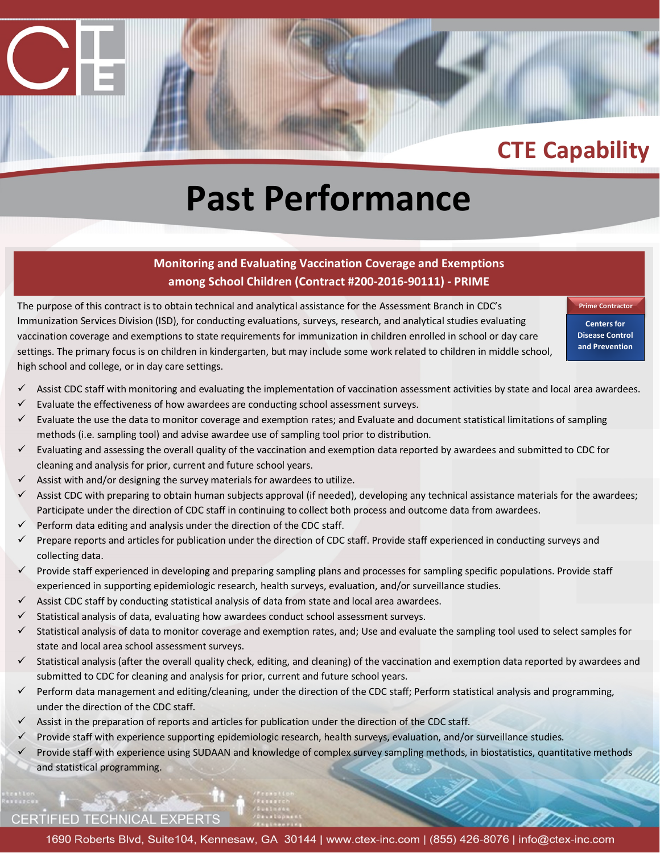# **Past Performance**

#### **Monitoring and Evaluating Vaccination Coverage and Exemptions among School Children (Contract #200-2016-90111) - PRIME**

The purpose of this contract is to obtain technical and analytical assistance for the Assessment Branch in CDC's Immunization Services Division (ISD), for conducting evaluations, surveys, research, and analytical studies evaluating vaccination coverage and exemptions to state requirements for immunization in children enrolled in school or day care settings. The primary focus is on children in kindergarten, but may include some work related to children in middle school, high school and college, or in day care settings.

**Prime Contractor Centers for Disease Control and Prevention**

- Assist CDC staff with monitoring and evaluating the implementation of vaccination assessment activities by state and local area awardees.
- $\checkmark$  Evaluate the effectiveness of how awardees are conducting school assessment surveys.
- $\checkmark$  Evaluate the use the data to monitor coverage and exemption rates; and Evaluate and document statistical limitations of sampling methods (i.e. sampling tool) and advise awardee use of sampling tool prior to distribution.
- $\checkmark$  Evaluating and assessing the overall quality of the vaccination and exemption data reported by awardees and submitted to CDC for cleaning and analysis for prior, current and future school years.
- $\checkmark$  Assist with and/or designing the survey materials for awardees to utilize.
- $\checkmark$  Assist CDC with preparing to obtain human subjects approval (if needed), developing any technical assistance materials for the awardees; Participate under the direction of CDC staff in continuing to collect both process and outcome data from awardees.
- Perform data editing and analysis under the direction of the CDC staff.
- $\checkmark$  Prepare reports and articles for publication under the direction of CDC staff. Provide staff experienced in conducting surveys and collecting data.
- $\checkmark$  Provide staff experienced in developing and preparing sampling plans and processes for sampling specific populations. Provide staff experienced in supporting epidemiologic research, health surveys, evaluation, and/or surveillance studies.
- $\checkmark$  Assist CDC staff by conducting statistical analysis of data from state and local area awardees.
- $\checkmark$  Statistical analysis of data, evaluating how awardees conduct school assessment surveys.
- Statistical analysis of data to monitor coverage and exemption rates, and; Use and evaluate the sampling tool used to select samples for state and local area school assessment surveys.
- $\checkmark$  Statistical analysis (after the overall quality check, editing, and cleaning) of the vaccination and exemption data reported by awardees and submitted to CDC for cleaning and analysis for prior, current and future school years.
- Perform data management and editing/cleaning, under the direction of the CDC staff; Perform statistical analysis and programming, under the direction of the CDC staff.
- $\checkmark$  Assist in the preparation of reports and articles for publication under the direction of the CDC staff.
- $\checkmark$  Provide staff with experience supporting epidemiologic research, health surveys, evaluation, and/or surveillance studies.
- $\checkmark$  Provide staff with experience using SUDAAN and knowledge of complex survey sampling methods, in biostatistics, quantitative methods and statistical programming.

#### **CERTIFIED TECHNICAL EXPERTS**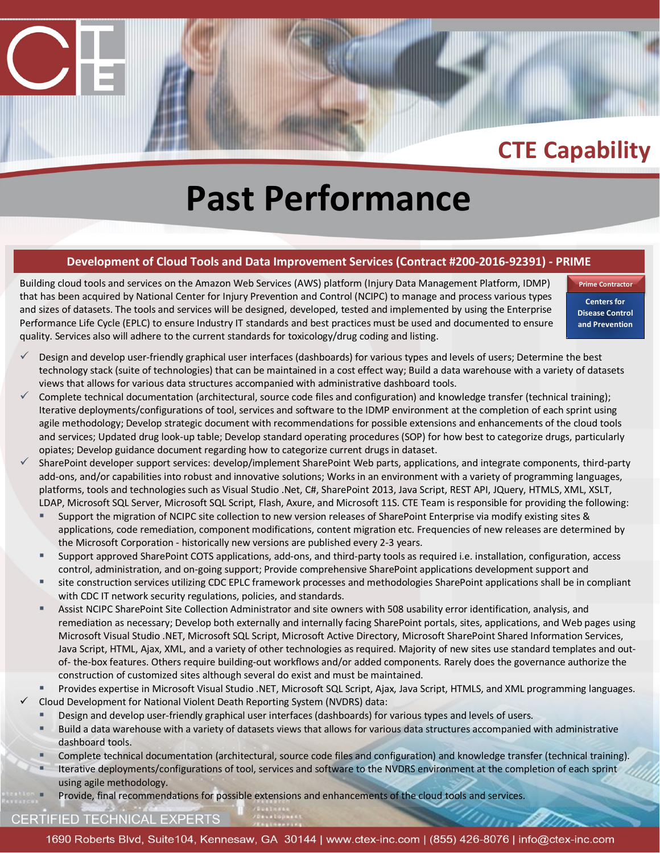# **Past Performance**

#### **Development of Cloud Tools and Data Improvement Services (Contract #200-2016-92391) - PRIME**

Building cloud tools and services on the Amazon Web Services (AWS) platform (Injury Data Management Platform, IDMP) that has been acquired by National Center for Injury Prevention and Control (NCIPC) to manage and process various types and sizes of datasets. The tools and services will be designed, developed, tested and implemented by using the Enterprise Performance Life Cycle (EPLC) to ensure Industry IT standards and best practices must be used and documented to ensure quality. Services also will adhere to the current standards for toxicology/drug coding and listing.

**Prime Contracto Centers for Disease Control and Prevention**

- Design and develop user-friendly graphical user interfaces (dashboards) for various types and levels of users; Determine the best technology stack (suite of technologies) that can be maintained in a cost effect way; Build a data warehouse with a variety of datasets views that allows for various data structures accompanied with administrative dashboard tools.
- Complete technical documentation (architectural, source code files and configuration) and knowledge transfer (technical training); Iterative deployments/configurations of tool, services and software to the IDMP environment at the completion of each sprint using agile methodology; Develop strategic document with recommendations for possible extensions and enhancements of the cloud tools and services; Updated drug look-up table; Develop standard operating procedures (SOP) for how best to categorize drugs, particularly opiates; Develop guidance document regarding how to categorize current drugs in dataset.
- SharePoint developer support services: develop/implement SharePoint Web parts, applications, and integrate components, third-party add-ons, and/or capabilities into robust and innovative solutions; Works in an environment with a variety of programming languages, platforms, tools and technologies such as Visual Studio .Net, C#, SharePoint 2013, Java Script, REST API, JQuery, HTMLS, XML, XSLT, LDAP, Microsoft SQL Server, Microsoft SQL Script, Flash, Axure, and Microsoft 11S. CTE Team is responsible for providing the following:
	- Support the migration of NCIPC site collection to new version releases of SharePoint Enterprise via modify existing sites & applications, code remediation, component modifications, content migration etc. Frequencies of new releases are determined by the Microsoft Corporation - historically new versions are published every 2-3 years.
	- Support approved SharePoint COTS applications, add-ons, and third-party tools as required i.e. installation, configuration, access control, administration, and on-going support; Provide comprehensive SharePoint applications development support and
	- site construction services utilizing CDC EPLC framework processes and methodologies SharePoint applications shall be in compliant with CDC IT network security regulations, policies, and standards.
	- Assist NCIPC SharePoint Site Collection Administrator and site owners with 508 usability error identification, analysis, and remediation as necessary; Develop both externally and internally facing SharePoint portals, sites, applications, and Web pages using Microsoft Visual Studio .NET, Microsoft SQL Script, Microsoft Active Directory, Microsoft SharePoint Shared Information Services, Java Script, HTML, Ajax, XML, and a variety of other technologies as required. Majority of new sites use standard templates and outof- the-box features. Others require building-out workflows and/or added components. Rarely does the governance authorize the construction of customized sites although several do exist and must be maintained.
- Provides expertise in Microsoft Visual Studio .NET, Microsoft SQL Script, Ajax, Java Script, HTMLS, and XML programming languages. Cloud Development for National Violent Death Reporting System (NVDRS) data:
	- Design and develop user-friendly graphical user interfaces (dashboards) for various types and levels of users.
	- Build a data warehouse with a variety of datasets views that allows for various data structures accompanied with administrative dashboard tools.
	- Complete technical documentation (architectural, source code files and configuration) and knowledge transfer (technical training).
	- Iterative deployments/configurations of tool, services and software to the NVDRS environment at the completion of each sprint using agile methodology.
	- Provide, final recommendations for possible extensions and enhancements of the cloud tools and services.

#### CERTIFIED TECHNICAL EXPERTS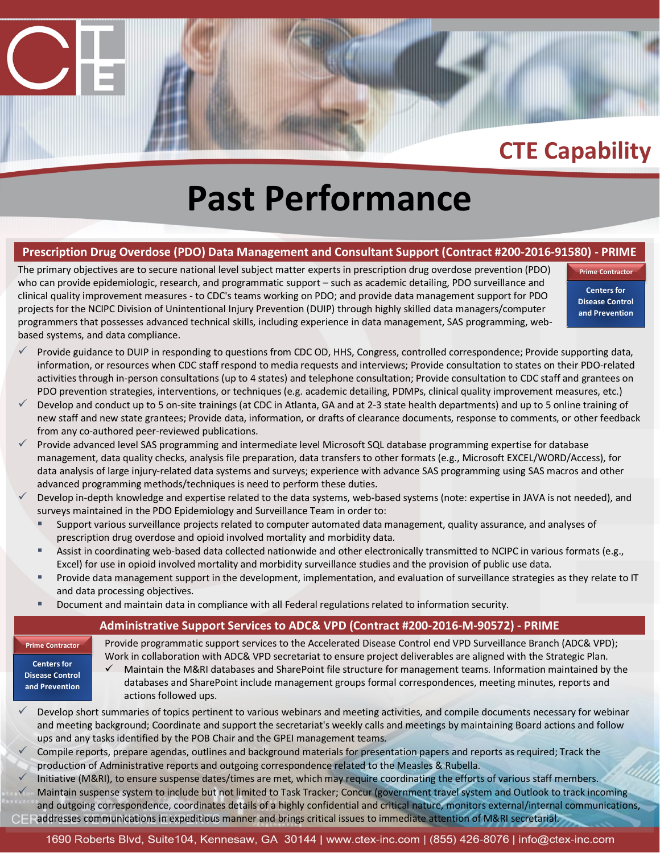# **Past Performance**

#### **Prescription Drug Overdose (PDO) Data Management and Consultant Support (Contract #200-2016-91580) - PRIME**

The primary objectives are to secure national level subject matter experts in prescription drug overdose prevention (PDO) who can provide epidemiologic, research, and programmatic support – such as academic detailing, PDO surveillance and clinical quality improvement measures - to CDC's teams working on PDO; and provide data management support for PDO projects for the NCIPC Division of Unintentional Injury Prevention (DUIP) through highly skilled data managers/computer programmers that possesses advanced technical skills, including experience in data management, SAS programming, webbased systems, and data compliance.

**Centers for Disease Control and Prevention**

**Prime Contracto** 

- $\checkmark$  Provide guidance to DUIP in responding to questions from CDC OD, HHS, Congress, controlled correspondence; Provide supporting data, information, or resources when CDC staff respond to media requests and interviews; Provide consultation to states on their PDO-related activities through in-person consultations (up to 4 states) and telephone consultation; Provide consultation to CDC staff and grantees on PDO prevention strategies, interventions, or techniques (e.g. academic detailing, PDMPs, clinical quality improvement measures, etc.)
- Develop and conduct up to 5 on-site trainings (at CDC in Atlanta, GA and at 2-3 state health departments) and up to 5 online training of new staff and new state grantees; Provide data, information, or drafts of clearance documents, response to comments, or other feedback from any co-authored peer-reviewed publications.
- Provide advanced level SAS programming and intermediate level Microsoft SQL database programming expertise for database management, data quality checks, analysis file preparation, data transfers to other formats (e.g., Microsoft EXCEL/WORD/Access), for data analysis of large injury-related data systems and surveys; experience with advance SAS programming using SAS macros and other advanced programming methods/techniques is need to perform these duties.
- Develop in-depth knowledge and expertise related to the data systems, web-based systems (note: expertise in JAVA is not needed), and surveys maintained in the PDO Epidemiology and Surveillance Team in order to:
	- Support various surveillance projects related to computer automated data management, quality assurance, and analyses of prescription drug overdose and opioid involved mortality and morbidity data.
	- Assist in coordinating web-based data collected nationwide and other electronically transmitted to NCIPC in various formats (e.g., Excel) for use in opioid involved mortality and morbidity surveillance studies and the provision of public use data.
	- Provide data management support in the development, implementation, and evaluation of surveillance strategies as they relate to IT and data processing objectives.
	- **Document and maintain data in compliance with all Federal regulations related to information security.**

#### **Administrative Support Services to ADC& VPD (Contract #200-2016-M-90572) - PRIME**

**Prime Contractor**

Provide programmatic support services to the Accelerated Disease Control end VPD Surveillance Branch (ADC& VPD); Work in collaboration with ADC& VPD secretariat to ensure project deliverables are aligned with the Strategic Plan.

**Centers for Disease Control and Prevention**

- $\checkmark$  Maintain the M&RI databases and SharePoint file structure for management teams. Information maintained by the databases and SharePoint include management groups formal correspondences, meeting minutes, reports and actions followed ups.
- Develop short summaries of topics pertinent to various webinars and meeting activities, and compile documents necessary for webinar and meeting background; Coordinate and support the secretariat's weekly calls and meetings by maintaining Board actions and follow ups and any tasks identified by the POB Chair and the GPEI management teams.
- Compile reports, prepare agendas, outlines and background materials for presentation papers and reports as required; Track the production of Administrative reports and outgoing correspondence related to the Measles & Rubella.
- Initiative (M&RI), to ensure suspense dates/times are met, which may require coordinating the efforts of various staff members.
- Maintain suspense system to include but not limited to Task Tracker; Concur (government travel system and Outlook to track incoming and outgoing correspondence, coordinates details of a highly confidential and critical nature, monitors external/internal communications, addresses communications in expeditious manner and brings critical issues to immediate attention of M&RI secretarial.
	-